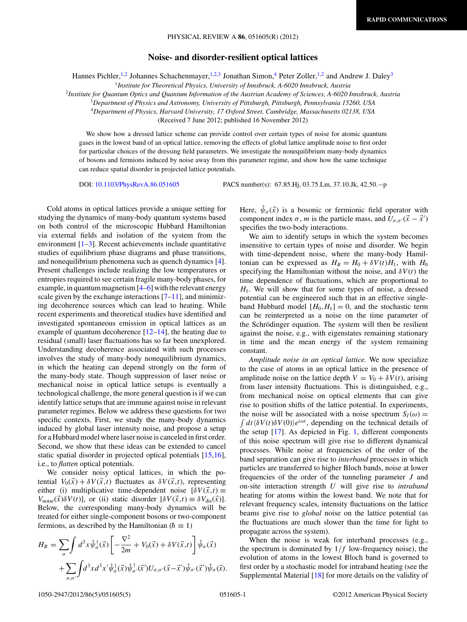## **Noise- and disorder-resilient optical lattices**

Hannes Pichler,<sup>1,2</sup> Johannes Schachenmayer,<sup>1,2,3</sup> Jonathan Simon,<sup>4</sup> Peter Zoller,<sup>1,2</sup> and Andrew J. Daley<sup>3</sup>

<sup>1</sup>*Institute for Theoretical Physics, University of Innsbruck, A-6020 Innsbruck, Austria*

<sup>2</sup>*Institute for Quantum Optics and Quantum Information of the Austrian Academy of Sciences, A-6020 Innsbruck, Austria*

<sup>3</sup>*Department of Physics and Astronomy, University of Pittsburgh, Pittsburgh, Pennsylvania 15260, USA*

<sup>4</sup>*Department of Physics, Harvard University, 17 Oxford Street, Cambridge, Massachusetts 02138, USA*

(Received 7 June 2012; published 16 November 2012)

We show how a dressed lattice scheme can provide control over certain types of noise for atomic quantum gases in the lowest band of an optical lattice, removing the effects of global lattice amplitude noise to first order for particular choices of the dressing field parameters. We investigate the nonequilibrium many-body dynamics of bosons and fermions induced by noise away from this parameter regime, and show how the same technique can reduce spatial disorder in projected lattice potentials.

DOI: [10.1103/PhysRevA.86.051605](http://dx.doi.org/10.1103/PhysRevA.86.051605) PACS number(s): 67*.*85*.*Hj, 03*.*75*.*Lm, 37*.*10*.*Jk, 42*.*50*.*−p

Cold atoms in optical lattices provide a unique setting for studying the dynamics of many-body quantum systems based on both control of the microscopic Hubbard Hamiltonian via external fields and isolation of the system from the environment  $[1-3]$ . Recent achievements include quantitative studies of equilibrium phase diagrams and phase transitions, and nonequilibrium phenomena such as quench dynamics [\[4\]](#page-3-0). Present challenges include realizing the low temperatures or entropies required to see certain fragile many-body phases, for example, in quantum magnetism [\[4–6\]](#page-3-0) with the relevant energy scale given by the exchange interactions  $[7-11]$ , and minimizing decoherence sources which can lead to heating. While recent experiments and theoretical studies have identified and investigated spontaneous emission in optical lattices as an example of quantum decoherence  $[12-14]$ , the heating due to residual (small) laser fluctuations has so far been unexplored. Understanding decoherence associated with such processes involves the study of many-body nonequilibrium dynamics, in which the heating can depend strongly on the form of the many-body state. Though suppression of laser noise or mechanical noise in optical lattice setups is eventually a technological challenge, the more general question is if we can identify lattice setups that are immune against noise in relevant parameter regimes. Below we address these questions for two specific contexts. First, we study the many-body dynamics induced by global laser intensity noise, and propose a setup for a Hubbard model where laser noise is canceled in first order. Second, we show that these ideas can be extended to cancel static spatial disorder in projected optical potentials [\[15,16\]](#page-3-0), i.e., to *flatten* optical potentials.

We consider noisy optical lattices, in which the potential  $V_0(\vec{x}) + \delta V(\vec{x}, t)$  fluctuates as  $\delta V(\vec{x}, t)$ , representing either (i) multiplicative time-dependent noise  $\delta V(\vec{x},t) \equiv$  $V_{\text{noise}}(\vec{x})\delta V(t)$ ], or (ii) static disorder  $[\delta V(\vec{x},t) \equiv \delta V_{\text{dis}}(\vec{x})]$ . Below, the corresponding many-body dynamics will be treated for either single-component bosons or two-component fermions, as described by the Hamiltonian ( $\hbar \equiv 1$ )

$$
H_B = \sum_{\sigma} \int d^3x \hat{\psi}_{\sigma}^{\dagger}(\vec{x}) \left[ -\frac{\nabla^2}{2m} + V_0(\vec{x}) + \delta V(\vec{x}, t) \right] \hat{\psi}_{\sigma}(\vec{x}) + \sum_{\sigma, \sigma'} \int d^3x d^3x' \hat{\psi}_{\sigma}^{\dagger}(\vec{x}) \hat{\psi}_{\sigma'}^{\dagger}(\vec{x}') U_{\sigma, \sigma'}(\vec{x} - \vec{x}') \hat{\psi}_{\sigma'}(\vec{x}') \hat{\psi}_{\sigma}(\vec{x}).
$$

Here,  $\hat{\psi}_{\sigma}(\vec{x})$  is a bosonic or fermionic field operator with component index  $\sigma$ , *m* is the particle mass, and  $\overline{U}_{\sigma,\sigma'}(\vec{x} - \vec{x}')$ specifies the two-body interactions.

We aim to identify setups in which the system becomes insensitive to certain types of noise and disorder. We begin with time-dependent noise, where the many-body Hamiltonian can be expressed as  $H_B = H_0 + \delta V(t)H_1$ , with  $H_0$ specifying the Hamiltonian without the noise, and  $\delta V(t)$  the time dependence of fluctuations, which are proportional to  $H<sub>1</sub>$ . We will show that for some types of noise, a dressed potential can be engineered such that in an effective singleband Hubbard model  $[H_0, H_1] = 0$ , and the stochastic term can be reinterpreted as a noise on the time parameter of the Schrödinger equation. The system will then be resilient against the noise, e.g., with eigenstates remaining stationary in time and the mean energy of the system remaining constant.

*Amplitude noise in an optical lattice.* We now specialize to the case of atoms in an optical lattice in the presence of amplitude noise on the lattice depth  $V = V_0 + \delta V(t)$ , arising from laser intensity fluctuations. This is distinguished, e.g., from mechanical noise on optical elements that can give rise to position shifts of the lattice potential. In experiments, the noise will be associated with a noise spectrum  $S_I(\omega)$  =  $\int dt \langle \delta V(t) \delta V(0) \rangle e^{i\omega t}$ , depending on the technical details of the setup [\[17\]](#page-3-0). As depicted in Fig. [1,](#page-1-0) different components of this noise spectrum will give rise to different dynamical processes. While noise at frequencies of the order of the band separation can give rise to *interband* processes in which particles are transferred to higher Bloch bands, noise at lower frequencies of the order of the tunneling parameter *J* and on-site interaction strength *U* will give rise to *intraband* heating for atoms within the lowest band. We note that for relevant frequency scales, intensity fluctuations on the lattice beams give rise to *global* noise on the lattice potential (as the fluctuations are much slower than the time for light to propagate across the system).

When the noise is weak for interband processes (e.g., the spectrum is dominated by 1*/f* low-frequency noise), the evolution of atoms in the lowest Bloch band is governed to first order by a stochastic model for intraband heating (see the Supplemental Material [\[18\]](#page-3-0) for more details on the validity of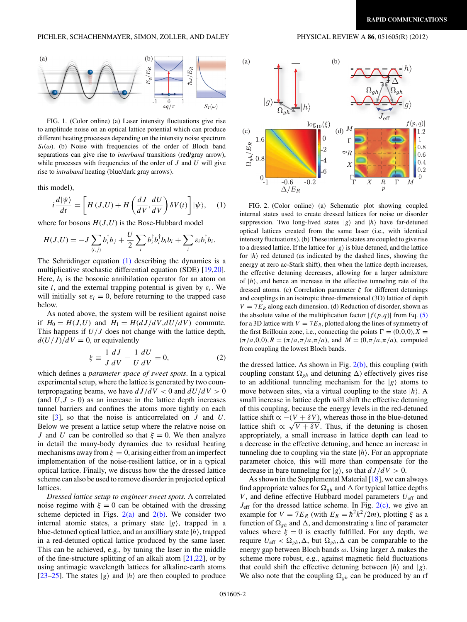<span id="page-1-0"></span>

FIG. 1. (Color online) (a) Laser intensity fluctuations give rise to amplitude noise on an optical lattice potential which can produce different heating processes depending on the intensity noise spectrum  $S_I(\omega)$ . (b) Noise with frequencies of the order of Bloch band separations can give rise to *interband* transitions (red/gray arrow), while processes with frequencies of the order of *J* and *U* will give rise to *intraband* heating (blue/dark gray arrows).

this model),

$$
i\frac{d|\psi\rangle}{dt} = \left[H(J,U) + H\left(\frac{dJ}{dV}, \frac{dU}{dV}\right)\delta V(t)\right]|\psi\rangle, \quad (1)
$$

where for bosons  $H(J, U)$  is the Bose-Hubbard model

$$
H(J,U) = -J\sum_{\langle i,j\rangle} b_i^{\dagger}b_j + \frac{U}{2}\sum_i b_i^{\dagger}b_i^{\dagger}b_i^{\dagger}b_i + \sum_i \varepsilon_i b_i^{\dagger}b_i.
$$

The Schrödinger equation  $(1)$  describing the dynamics is a multiplicative stochastic differential equation (SDE) [\[19,20\]](#page-3-0). Here,  $b_i$  is the bosonic annihilation operator for an atom on site *i*, and the external trapping potential is given by  $\varepsilon_i$ . We will initially set  $\varepsilon_i = 0$ , before returning to the trapped case below.

As noted above, the system will be resilient against noise if  $H_0 = H(J,U)$  and  $H_1 = H(dJ/dV, dU/dV)$  commute. This happens if *U/J* does not change with the lattice depth,  $d(U/J)/dV = 0$ , or equivalently

$$
\xi \equiv \frac{1}{J} \frac{dJ}{dV} - \frac{1}{U} \frac{dU}{dV} = 0,\tag{2}
$$

which defines a *parameter space of sweet spots*. In a typical experimental setup, where the lattice is generated by two counterpropagating beams, we have  $dJ/dV < 0$  and  $dU/dV > 0$ (and  $U, J > 0$ ) as an increase in the lattice depth increases tunnel barriers and confines the atoms more tightly on each site [\[3\]](#page-3-0), so that the noise is anticorrelated on *J* and *U*. Below we present a lattice setup where the relative noise on *J* and *U* can be controlled so that  $\xi = 0$ . We then analyze in detail the many-body dynamics due to residual heating mechanisms away from  $\xi = 0$ , arising either from an imperfect implementation of the noise-resilient lattice, or in a typical optical lattice. Finally, we discuss how the the dressed lattice scheme can also be used to remove disorder in projected optical lattices.

*Dressed lattice setup to engineer sweet spots.* A correlated noise regime with  $\xi = 0$  can be obtained with the dressing scheme depicted in Figs.  $2(a)$  and  $2(b)$ . We consider two internal atomic states, a primary state  $|g\rangle$ , trapped in a blue-detuned optical lattice, and an auxilliary state |*h*, trapped in a red-detuned optical lattice produced by the same laser. This can be achieved, e.g., by tuning the laser in the middle of the fine-structure splitting of an alkali atom [\[21,22\]](#page-3-0), or by using antimagic wavelength lattices for alkaline-earth atoms [\[23–25\]](#page-3-0). The states  $|g\rangle$  and  $|h\rangle$  are then coupled to produce



FIG. 2. (Color online) (a) Schematic plot showing coupled internal states used to create dressed lattices for noise or disorder suppression. Two long-lived states  $|g\rangle$  and  $|h\rangle$  have far-detuned optical lattices created from the same laser (i.e., with identical intensity fluctuations). (b) These internal states are coupled to give rise to a dressed lattice. If the lattice for  $|g\rangle$  is blue detuned, and the lattice for  $|h\rangle$  red detuned (as indicated by the dashed lines, showing the energy at zero ac-Stark shift), then when the lattice depth increases, the effective detuning decreases, allowing for a larger admixture of  $|h\rangle$ , and hence an increase in the effective tunneling rate of the dressed atoms. (c) Correlation parameter *ξ* for different detunings and couplings in an isotropic three-dimensional (3D) lattice of depth  $V = 7E_R$  along each dimension. (d) Reduction of disorder, shown as the absolute value of the multiplication factor  $|f(p,q)|$  from Eq. [\(5\)](#page-3-0) for a 3D lattice with  $V = 7E_R$ , plotted along the lines of symmetry of the first Brillouin zone, i.e., connecting the points  $\Gamma = (0,0,0)$ ,  $X =$  $(\pi/a,0,0), R = (\pi/a, \pi/a, \pi/a)$ , and  $M = (0, \pi/a, \pi/a)$ , computed from coupling the lowest Bloch bands.

the dressed lattice. As shown in Fig.  $2(b)$ , this coupling (with coupling constant  $\Omega_{gh}$  and detuning  $\Delta$ ) effectively gives rise to an additional tunneling mechanism for the  $|g\rangle$  atoms to move between sites, via a virtual coupling to the state  $|h\rangle$ . A small increase in lattice depth will shift the effective detuning of this coupling, because the energy levels in the red-detuned lattice shift  $\alpha$  −(*V* +  $\delta$ *V*), whereas those in the blue-detuned lattice shift  $\propto \sqrt{V + \delta V}$ . Thus, if the detuning is chosen appropriately, a small increase in lattice depth can lead to a decrease in the effective detuning, and hence an increase in tunneling due to coupling via the state  $|h\rangle$ . For an appropriate parameter choice, this will more than compensate for the decrease in bare tunneling for  $|g\rangle$ , so that  $dJ/dV > 0$ .

As shown in the Supplemental Material [\[18\]](#page-3-0), we can always find appropriate values for  $\Omega_{gh}$  and  $\Delta$  for typical lattice depths *V*, and define effective Hubbard model parameters  $U_{\text{eff}}$  and  $J_{\text{eff}}$  for the dressed lattice scheme. In Fig.  $2(c)$ , we give an example for  $V = 7E_R$  (with  $E_R = \hbar^2 k^2 / 2m$ ), plotting  $\xi$  as a function of  $\Omega_{gh}$  and  $\Delta$ , and demonstrating a line of parameter values where  $\xi = 0$  is exactly fulfilled. For any depth, we require  $U_{\text{eff}} < \Omega_{gh}, \Delta$ , but  $\Omega_{gh}, \Delta$  can be comparable to the energy gap between Bloch bands *ω*. Using larger  $\Delta$  makes the scheme more robust, e.g., against magnetic field fluctuations that could shift the effective detuning between  $|h\rangle$  and  $|g\rangle$ . We also note that the coupling  $\Omega_{gh}$  can be produced by an rf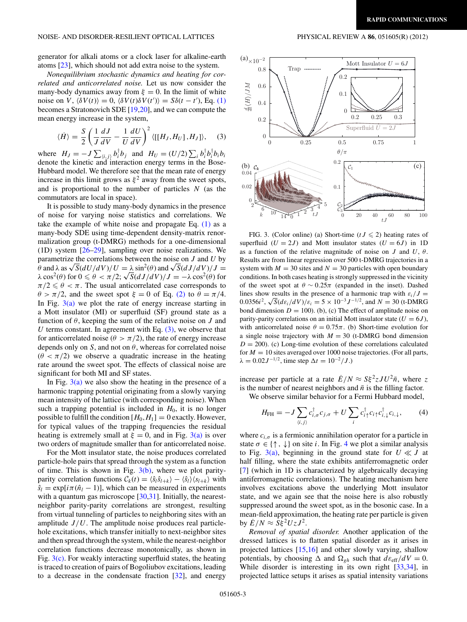<span id="page-2-0"></span>generator for alkali atoms or a clock laser for alkaline-earth atoms [\[23\]](#page-3-0), which should not add extra noise to the system.

*Nonequilibrium stochastic dynamics and heating for correlated and anticorrelated noise.* Let us now consider the many-body dynamics away from  $\xi = 0$ . In the limit of white noise on  $\hat{V}$ ,  $\langle \delta V(t) \rangle = 0$ ,  $\langle \delta V(t) \delta V(t') \rangle = S \delta(t - t')$ , Eq. [\(1\)](#page-1-0) becomes a Stratonovich SDE [\[19,20\]](#page-3-0), and we can compute the mean energy increase in the system,

$$
\langle \dot{H} \rangle = \frac{S}{2} \left( \frac{1}{J} \frac{dJ}{dV} - \frac{1}{U} \frac{dU}{dV} \right)^2 \langle [[H_J, H_U], H_J] \rangle, \quad (3)
$$

where  $H_J = -J \sum_{\langle i,j \rangle} b_i^{\dagger} b_j$  and  $H_U = (U/2) \sum_i b_i^{\dagger} b_i^{\dagger} b_i b_i$ denote the kinetic and interaction energy terms in the Bose-Hubbard model. We therefore see that the mean rate of energy increase in this limit grows as  $\xi^2$  away from the sweet spots, and is proportional to the number of particles *N* (as the commutators are local in space).

It is possible to study many-body dynamics in the presence of noise for varying noise statistics and correlations. We take the example of white noise and propagate Eq.  $(1)$  as a many-body SDE using time-dependent density-matrix renormalization group (t-DMRG) methods for a one-dimensional (1D) system [\[26–29\]](#page-4-0), sampling over noise realizations. We parametrize the correlations between the noise on *J* and *U* by  $\theta$  and  $\lambda$  as  $\sqrt{S}$ ( $dU/dV$ )/ $U = \lambda \sin^2(\theta)$  and  $\sqrt{S}$ ( $dJ/dV$ )/ $J =$ *θ* and  $\lambda$  as  $\sqrt{S(dU/dV)}/U = \lambda \sin^2(\theta)$  and  $\sqrt{S(dJ/dV)}/J = \lambda \cos^2(\theta)$  for  $0 \le \theta < \pi/2$ ;  $\sqrt{S(dJ/dV)}/J = -\lambda \cos^2(\theta)$  for  $\pi/2 \leq \theta < \pi$ . The usual anticorrelated case corresponds to  $\theta$  >  $\pi/2$ , and the sweet spot  $\xi$  = 0 of Eq. [\(2\)](#page-1-0) to  $\theta = \pi/4$ . In Fig.  $3(a)$  we plot the rate of energy increase starting in a Mott insulator (MI) or superfluid (SF) ground state as a function of *θ*, keeping the sum of the relative noise on *J* and *U* terms constant. In agreement with Eq.  $(3)$ , we observe that for anticorrelated noise ( $\theta > \pi/2$ ), the rate of energy increase depends only on *S*, and not on *θ*, whereas for correlated noise  $(\theta < \pi/2)$  we observe a quadratic increase in the heating rate around the sweet spot. The effects of classical noise are significant for both MI and SF states.

In Fig.  $3(a)$  we also show the heating in the presence of a harmonic trapping potential originating from a slowly varying mean intensity of the lattice (with corresponding noise). When such a trapping potential is included in *H*0, it is no longer possible to fulfill the condition  $[H_0, H_1] = 0$  exactly. However, for typical values of the trapping frequencies the residual heating is extremely small at  $\xi = 0$ , and in Fig. 3(a) is over two orders of magnitude smaller than for anticorrelated noise.

For the Mott insulator state, the noise produces correlated particle-hole pairs that spread through the system as a function of time. This is shown in Fig.  $3(b)$ , where we plot parityparity correlation functions  $C_k(t) = \langle \hat{s}_l \hat{s}_{l+k} \rangle - \langle \hat{s}_l \rangle \langle s_{l+k} \rangle$  with  $\hat{s}_l = \exp[i\pi(\hat{n}_l - 1)]$ , which can be measured in experiments with a quantum gas microscope [\[30,31\]](#page-4-0). Initially, the nearestneighbor parity-parity correlations are strongest, resulting from virtual tunneling of particles to neighboring sites with an amplitude  $J/U$ . The amplitude noise produces real particlehole excitations, which transfer initially to next-neighbor sites and then spread through the system, while the nearest-neighbor correlation functions decrease monotonically, as shown in Fig.  $3(c)$ . For weakly interacting superfluid states, the heating is traced to creation of pairs of Bogoliubov excitations, leading to a decrease in the condensate fraction [\[32\]](#page-4-0), and energy



FIG. 3. (Color online) (a) Short-time ( $tJ \le 2$ ) heating rates of superfluid  $(U = 2J)$  and Mott insulator states  $(U = 6J)$  in 1D as a function of the relative magnitude of noise on *J* and *U*, *θ*. Results are from linear regression over 500 t-DMRG trajectories in a system with  $M = 30$  sites and  $N = 30$  particles with open boundary conditions. In both cases heating is strongly suppressed in the vicinity of the sweet spot at  $\theta \sim 0.25\pi$  (expanded in the inset). Dashed lines show results in the presence of a harmonic trap with  $\varepsilon_i/J =$ not show results in the presence of a narmonic trap with  $\varepsilon_i / J = 0.0356i^2$ ,  $\sqrt{S}(d\varepsilon_i/dV)/\varepsilon_i = 5 \times 10^{-3} J^{-1/2}$ , and  $N = 30$  (t-DMRG) bond dimension  $D = 100$ . (b), (c) The effect of amplitude noise on parity-parity correlations on an initial Mott insulator state  $(U = 6J)$ , with anticorrelated noise  $\theta = 0.75\pi$ . (b) Short-time evolution for a single noise trajectory with  $M = 30$  (t-DMRG bond dimension  $D = 200$ . (c) Long-time evolution of these correlations calculated for  $M = 10$  sites averaged over 1000 noise trajectories. (For all parts,  $\lambda = 0.02 J^{-1/2}$ , time step  $\Delta t = 10^{-2}/J$ .)

increase per particle at a rate  $E/N \approx S \xi^2 z J U^2 \bar{n}$ , where *z* is the number of nearest neighbors and  $\bar{n}$  is the filling factor.

We observe similar behavior for a Fermi Hubbard model,

$$
H_{\rm FH} = -J \sum_{\langle i,j \rangle} c_{i,\sigma}^{\dagger} c_{j,\sigma} + U \sum_i c_{i\uparrow}^{\dagger} c_{i\uparrow} c_{i,\downarrow}^{\dagger} c_{i,\downarrow}, \tag{4}
$$

where  $c_{i,\sigma}$  is a fermionic annihilation operator for a particle in state  $\sigma \in \{\uparrow, \downarrow\}$  on site *i*. In Fig. [4](#page-3-0) we plot a similar analysis to Fig. 3(a), beginning in the ground state for  $U \ll J$  at half filling, where the state exhibits antiferromagnetic order [\[7\]](#page-3-0) (which in 1D is characterized by algebraically decaying antiferromagnetic correlations). The heating mechanism here involves excitations above the underlying Mott insulator state, and we again see that the noise here is also robustly suppressed around the sweet spot, as in the bosonic case. In a mean-field approximation, the heating rate per particle is given by  $\dot{E}/N \approx S \xi^2 U z J^2$ .

*Removal of spatial disorder.* Another application of the dressed lattices is to flatten spatial disorder as it arises in projected lattices [\[15,16\]](#page-3-0) and other slowly varying, shallow potentials, by choosing  $\Delta$  and  $\Omega_{gh}$  such that  $d\varepsilon_{eff}/dV = 0$ . While disorder is interesting in its own right [\[33,34\]](#page-4-0), in projected lattice setups it arises as spatial intensity variations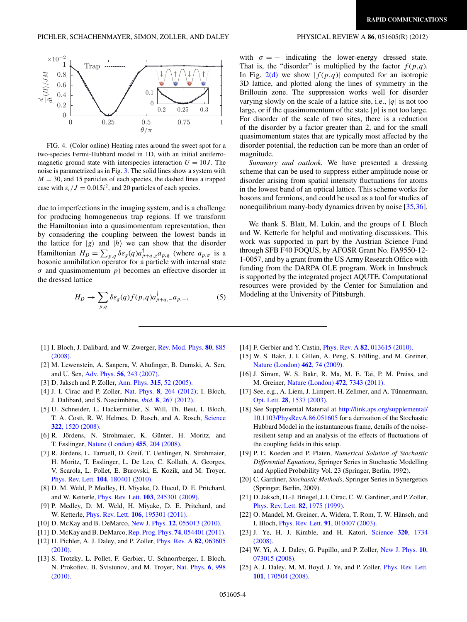<span id="page-3-0"></span>

FIG. 4. (Color online) Heating rates around the sweet spot for a two-species Fermi-Hubbard model in 1D, with an initial antiferromagnetic ground state with interspecies interaction  $U = 10J$ . The noise is parametrized as in Fig. [3.](#page-2-0) The solid lines show a system with  $M = 30$ , and 15 particles of each species, the dashed lines a trapped case with  $\varepsilon_i/J = 0.015i^2$ , and 20 particles of each species.

due to imperfections in the imaging system, and is a challenge for producing homogeneous trap regions. If we transform the Hamiltonian into a quasimomentum representation, then by considering the coupling between the lowest bands in the lattice for  $|g\rangle$  and  $|h\rangle$  we can show that the disorder Hamiltonian  $H_D = \sum_{p,q} \delta \varepsilon_g(q) a_{p+q,g}^{\dagger} a_{p,g}$  (where  $a_{p,\sigma}$  is a bosonic annihilation operator for a particle with internal state *σ* and quasimomentum *p*) becomes an effective disorder in the dressed lattice

$$
H_D \to \sum_{p,q} \delta \varepsilon_g(q) f(p,q) a_{p+q,-}^{\dagger} a_{p,-}, \tag{5}
$$

- [1] I. Bloch, J. Dalibard, and W. Zwerger, [Rev. Mod. Phys.](http://dx.doi.org/10.1103/RevModPhys.80.885) **80**, 885 [\(2008\).](http://dx.doi.org/10.1103/RevModPhys.80.885)
- [2] M. Lewenstein, A. Sanpera, V. Ahufinger, B. Damski, A. Sen, and U. Sen, Adv. Phys. **56**[, 243 \(2007\).](http://dx.doi.org/10.1080/00018730701223200)
- [3] D. Jaksch and P. Zoller, Ann. Phys. **315**[, 52 \(2005\).](http://dx.doi.org/10.1016/j.aop.2004.09.010)
- [4] J. I. Cirac and P. Zoller, Nat. Phys. **8**[, 264 \(2012\);](http://dx.doi.org/10.1038/nphys2275) I. Bloch, J. Dalibard, and S. Nascimbene, ` *ibid.* **8**[, 267 \(2012\).](http://dx.doi.org/10.1038/nphys2259)
- [5] U. Schneider, L. Hackermüller, S. Will, Th. Best, I. Bloch, T. A. Costi, R. W. Helmes, D. Rasch, and A. Rosch, [Science](http://dx.doi.org/10.1126/science.1165449) **322**[, 1520 \(2008\).](http://dx.doi.org/10.1126/science.1165449)
- [6] R. Jördens, N. Strohmaier, K. Günter, H. Moritz, and T. Esslinger, [Nature \(London\)](http://dx.doi.org/10.1038/nature07244) **455**, 204 (2008).
- [7] R. Jördens, L. Tarruell, D. Greif, T. Uehlinger, N. Strohmaier, H. Moritz, T. Esslinger, L. De Leo, C. Kollath, A. Georges, V. Scarola, L. Pollet, E. Burovski, E. Kozik, and M. Troyer, Phys. Rev. Lett. **104**[, 180401 \(2010\).](http://dx.doi.org/10.1103/PhysRevLett.104.180401)
- [8] D. M. Weld, P. Medley, H. Miyake, D. Hucul, D. E. Pritchard, and W. Ketterle, Phys. Rev. Lett. **103**[, 245301 \(2009\).](http://dx.doi.org/10.1103/PhysRevLett.103.245301)
- [9] P. Medley, D. M. Weld, H. Miyake, D. E. Pritchard, and W. Ketterle, Phys. Rev. Lett. **106**[, 195301 \(2011\).](http://dx.doi.org/10.1103/PhysRevLett.106.195301)
- [10] D. McKay and B. DeMarco, New J. Phys. **12**[, 055013 \(2010\).](http://dx.doi.org/10.1088/1367-2630/12/5/055013)
- [11] D. McKay and B. DeMarco, [Rep. Prog. Phys.](http://dx.doi.org/10.1088/0034-4885/74/5/054401) **74**, 054401 (2011).
- [12] H. Pichler, A. J. Daley, and P. Zoller, [Phys. Rev. A](http://dx.doi.org/10.1103/PhysRevA.82.063605) **82**, 063605 [\(2010\).](http://dx.doi.org/10.1103/PhysRevA.82.063605)
- [13] S. Trotzky, L. Pollet, F. Gerbier, U. Schnorrberger, I. Bloch, N. Prokofiev, B. Svistunov, and M. Troyer, [Nat. Phys.](http://dx.doi.org/10.1038/nphys1799) **6**, 998 [\(2010\).](http://dx.doi.org/10.1038/nphys1799)

with  $\sigma = -$  indicating the lower-energy dressed state. That is, the "disorder" is multiplied by the factor  $f(p,q)$ . In Fig. [2\(d\)](#page-1-0) we show  $|f(p,q)|$  computed for an isotropic 3D lattice, and plotted along the lines of symmetry in the Brillouin zone. The suppression works well for disorder varying slowly on the scale of a lattice site, i.e., |*q*| is not too large, or if the quasimomentum of the state  $|p|$  is not too large. For disorder of the scale of two sites, there is a reduction of the disorder by a factor greater than 2, and for the small quasimomentum states that are typically most affected by the disorder potential, the reduction can be more than an order of magnitude.

*Summary and outlook.* We have presented a dressing scheme that can be used to suppress either amplitude noise or disorder arising from spatial intensity fluctuations for atoms in the lowest band of an optical lattice. This scheme works for bosons and fermions, and could be used as a tool for studies of nonequilibrium many-body dynamics driven by noise [\[35,36\]](#page-4-0).

We thank S. Blatt, M. Lukin, and the groups of I. Bloch and W. Ketterle for helpful and motivating discussions. This work was supported in part by the Austrian Science Fund through SFB F40 FOQUS, by AFOSR Grant No. FA9550-12- 1-0057, and by a grant from the US Army Research Office with funding from the DARPA OLE program. Work in Innsbruck is supported by the integrated project AQUTE. Computational resources were provided by the Center for Simulation and Modeling at the University of Pittsburgh.

- [14] F. Gerbier and Y. Castin, Phys. Rev. A **82**[, 013615 \(2010\).](http://dx.doi.org/10.1103/PhysRevA.82.013615)
- [15] W. S. Bakr, J. I. Gillen, A. Peng, S. Fölling, and M. Greiner, [Nature \(London\)](http://dx.doi.org/10.1038/nature08482) **462**, 74 (2009).
- [16] J. Simon, W. S. Bakr, R. Ma, M. E. Tai, P. M. Preiss, and M. Greiner, [Nature \(London\)](http://dx.doi.org/10.1038/nature09994) **472**, 7343 (2011).
- [17] See, e.g., A. Liem, J. Limpert, H. Zellmer, and A. Tünnermann, Opt. Lett. **28**[, 1537 \(2003\).](http://dx.doi.org/10.1364/OL.28.001537)
- [18] See Supplemental Material at [http://link.aps.org/supplemental/](http://link.aps.org/supplemental/10.1103/PhysRevA.86.051605) [10.1103/PhysRevA.86.051605](http://link.aps.org/supplemental/10.1103/PhysRevA.86.051605) for a derivation of the Stochastic Hubbard Model in the instantaneous frame, details of the noiseresilient setup and an analysis of the effects of fluctuations of the coupling fields in this setup.
- [19] P. E. Koeden and P. Platen, *Numerical Solution of Stochastic Differential Equations*, Springer Series in Stochastic Modelling and Applied Probability Vol. 23 (Springer, Berlin, 1992).
- [20] C. Gardiner, *Stochastic Methods*, Springer Series in Synergetics (Springer, Berlin, 2009).
- [21] D. Jaksch, H.-J. Briegel, J. I. Cirac, C. W. Gardiner, and P. Zoller, [Phys. Rev. Lett.](http://dx.doi.org/10.1103/PhysRevLett.82.1975) **82**, 1975 (1999).
- [22] O. Mandel, M. Greiner, A. Widera, T. Rom, T. W. Hänsch, and I. Bloch, Phys. Rev. Lett. **91**[, 010407 \(2003\).](http://dx.doi.org/10.1103/PhysRevLett.91.010407)
- [23] J. Ye, H. J. Kimble, and H. Katori, [Science](http://dx.doi.org/10.1126/science.1148259) **320**, 1734 [\(2008\).](http://dx.doi.org/10.1126/science.1148259)
- [24] W. Yi, A. J. Daley, G. Pupillo, and P. Zoller, [New J. Phys.](http://dx.doi.org/10.1088/1367-2630/10/7/073015) **10**, [073015 \(2008\).](http://dx.doi.org/10.1088/1367-2630/10/7/073015)
- [25] A. J. Daley, M. M. Boyd, J. Ye, and P. Zoller, *[Phys. Rev. Lett.](http://dx.doi.org/10.1103/PhysRevLett.101.170504)* **101**[, 170504 \(2008\).](http://dx.doi.org/10.1103/PhysRevLett.101.170504)